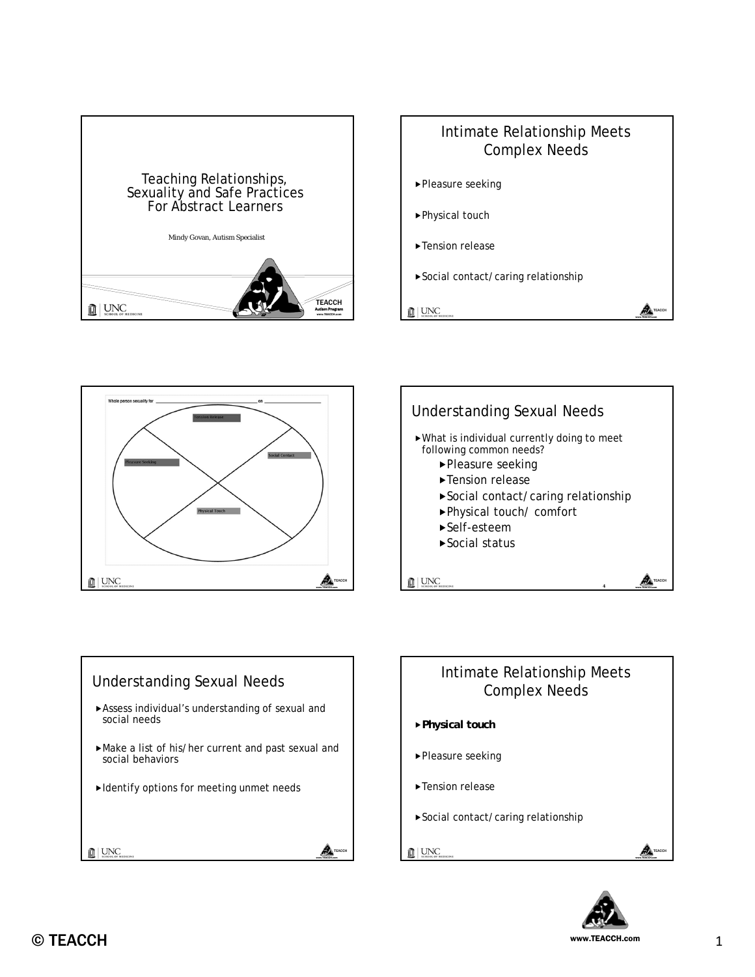











- *Physical touch*
- ▶Pleasure seeking
- ► Tension release
- Social contact/caring relationship
- **III** UNC



**AN** TEACC www.TEACCH.com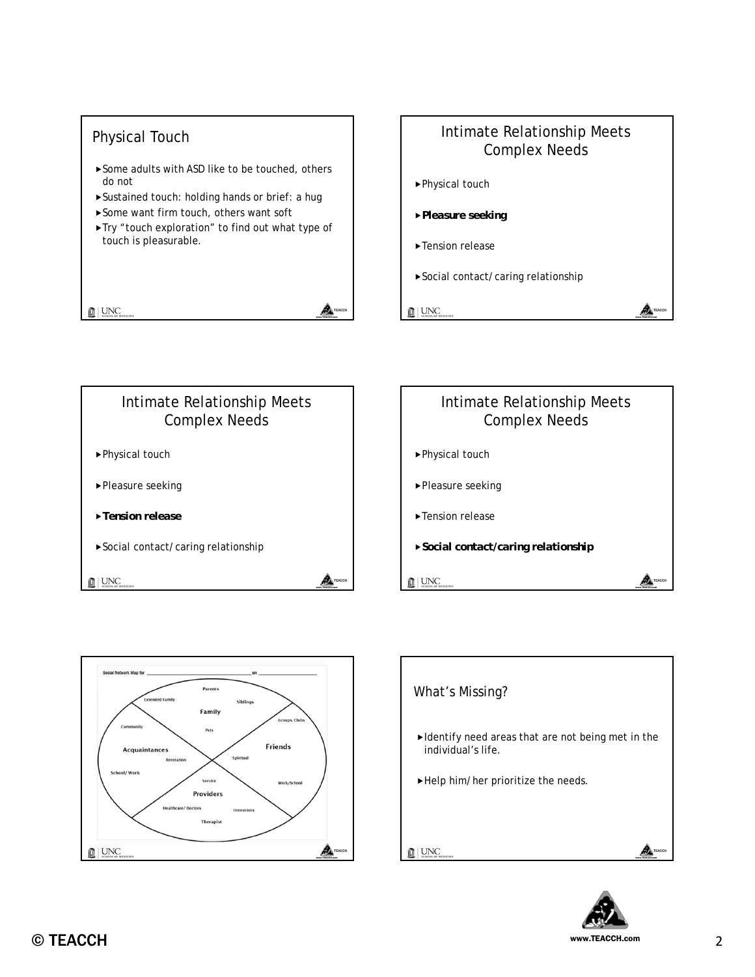







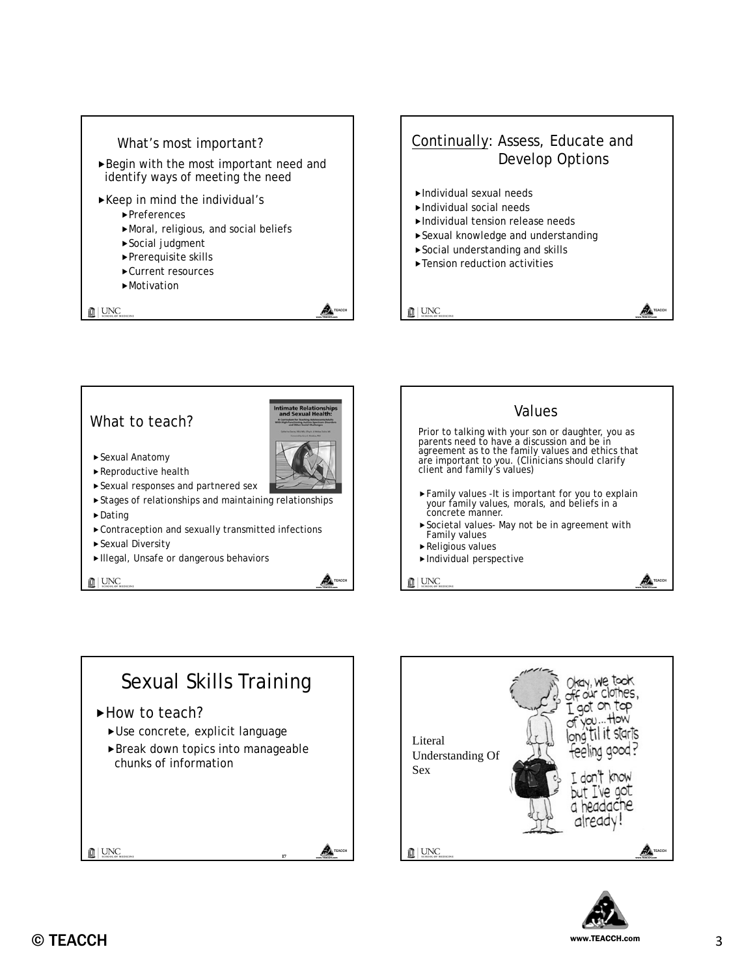







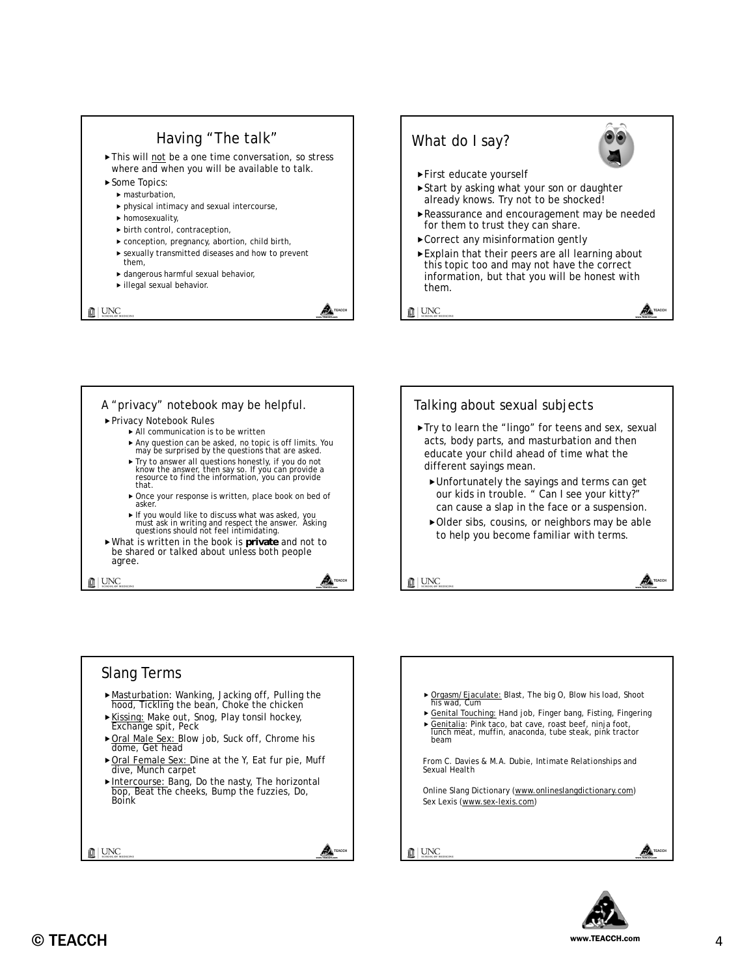

TEACCH www.TEACCH.com



- Privacy Notebook Rules
	- All communication is to be written
	- Any question can be asked, no topic is off limits. You may be surprised by the questions that are asked.
	- Try to answer all questions honestly, if you do not know the answer, then say so. If you can provide a<br>resource to find the information, you can provide that.
	- Once your response is written, place book on bed of asker.
	- If you would like to discuss what was asked, you must ask in writing and respect the answer. Asking questions should not feel intimidating.
- What is written in the book is **private** and not to be shared or talked about unless both people agree.

**血** UNC



Try to learn the "lingo" for teens and sex, sexual acts, body parts, and masturbation and then educate your child ahead of time what the different sayings mean.

TEACCH

៳ www.TEACCH.com

- Unfortunately the sayings and terms can get our kids in trouble. " Can I see your kitty?" can cause a slap in the face or a suspension.
- Older sibs, cousins, or neighbors may be able to help you become familiar with terms.

 $\mathbb{R}$  UNC

#### Slang Terms Masturbation: Wanking, Jacking off, Pulling the hood, Tickling the bean, Choke the chicken Kissing: Make out, Snog, Play tonsil hockey, Exchange spit, Peck ▶ Oral Male Sex: Blow job, Suck off, Chrome his dome, Get head ▶ Oral Female Sex: Dine at the Y, Eat fur pie, Muff dive, Munch carpet ► Intercourse: Bang, Do the nasty, The horizontal bop, Beat the cheeks, Bump the fuzzies, Do, Boink  $\frac{1}{\text{min}}$  UNC A. www.TEACCH.com



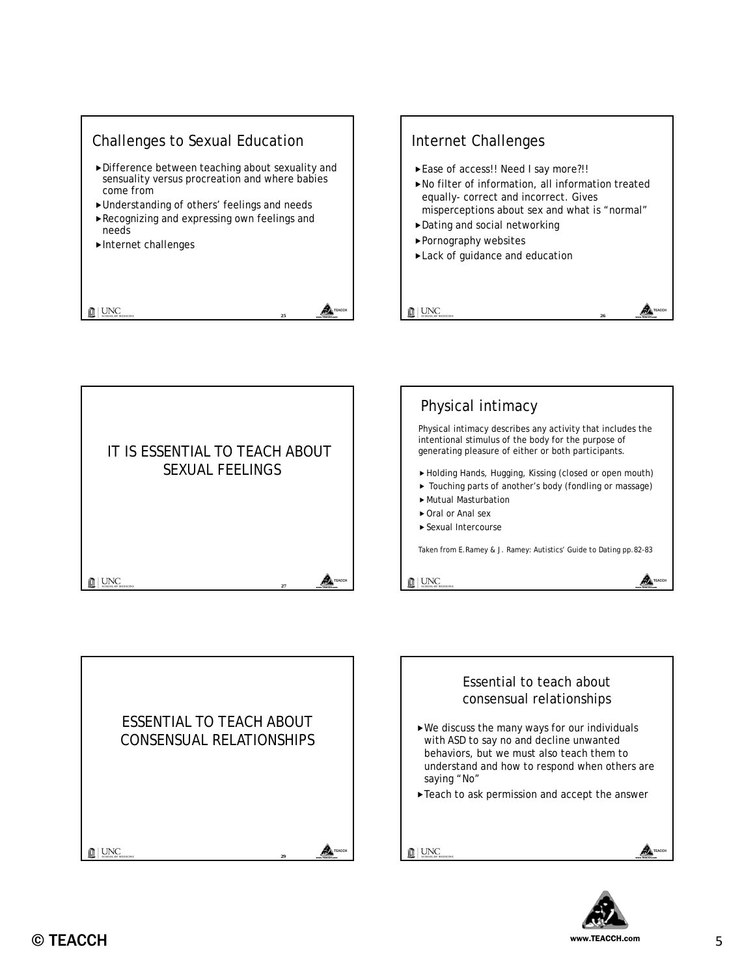









www.TEACCH.com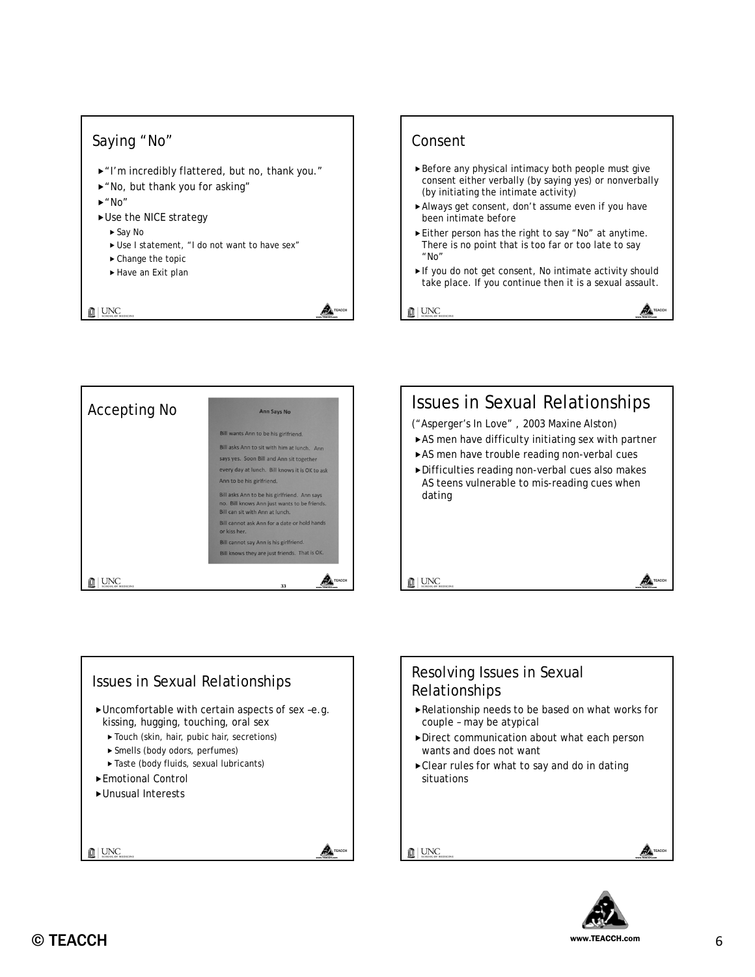## Saying "No"

- ▶ "I'm incredibly flattered, but no, thank you."
- "No, but thank you for asking"
- $\blacktriangleright$  "No"
- Use the NICE strategy
	- ► Say No
	- Use I statement, "I do not want to have sex"
	- ▶ Change the topic
	- ► Have an Exit plan

 $\mathbf{L}$  UNC

### Consent

- Before any physical intimacy both people must give consent either verbally (by saying yes) or nonverbally (by initiating the intimate activity)
- Always get consent, don't assume even if you have been intimate before
- Either person has the right to say "No" at anytime. There is no point that is too far or too late to say "No"
- If you do not get consent, No intimate activity should take place. If you continue then it is a sexual assault.

TEACCH www.TEACCH.com

⚠

 $\mathbf{L}$  UNC

TEACCH www.TEACCH.com







## Resolving Issues in Sexual Relationships

- Relationship needs to be based on what works for couple – may be atypical
- Direct communication about what each person wants and does not want
- Clear rules for what to say and do in dating situations

**III** UNC

</u> www.TEACCH.com

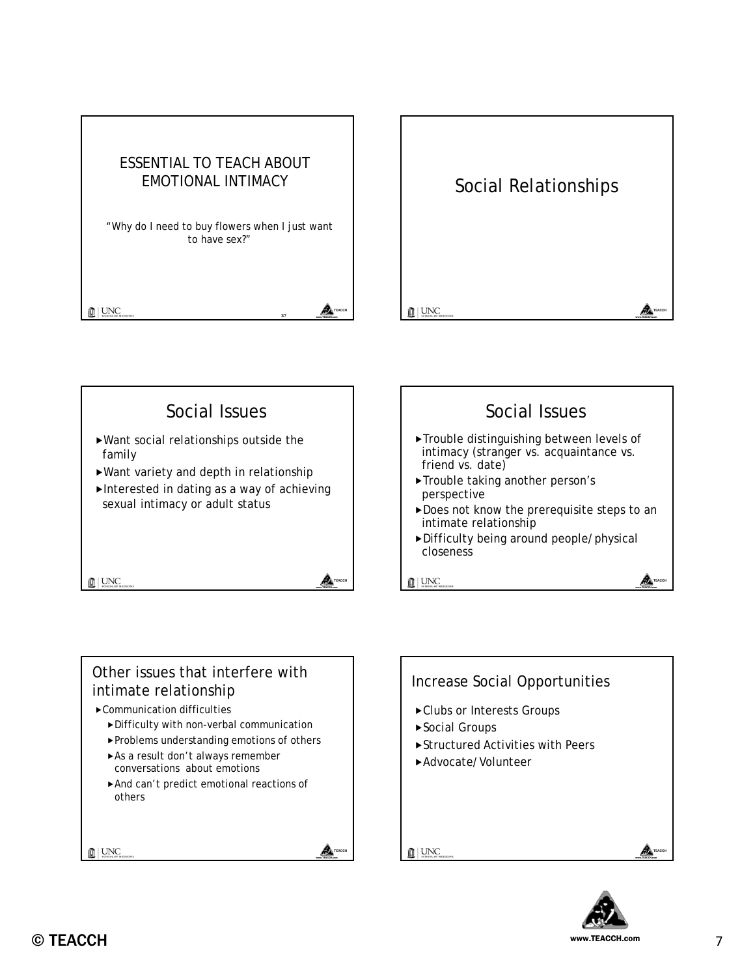





⚠ www.TEACCH.com



### Other issues that interfere with intimate relationship

- Communication difficulties
	- Difficulty with non-verbal communication
	- Problems understanding emotions of others
	- ► As a result don't always remember conversations about emotions
	- And can't predict emotional reactions of others

**III** UNC



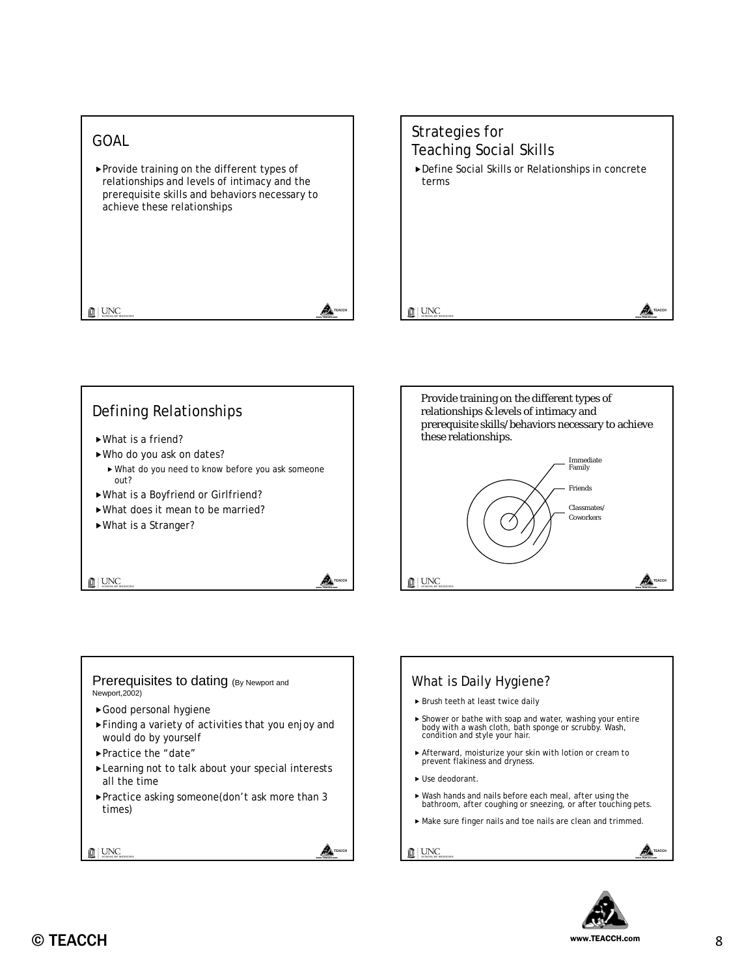### GOAL

 $\mathbf{L}$  UNC

▶ Provide training on the different types of relationships and levels of intimacy and the prerequisite skills and behaviors necessary to achieve these relationships

> TEACCH www.TEACCH.com

> TEACCH www.TEACCH.com

Awww.TEACCH.com

# Strategies for Teaching Social Skills Define Social Skills or Relationships in concrete terms  $\mathbf{L}$  UNC ⚠ TEACCH www.TEACCH.com

### Defining Relationships

- What is a friend?
- Who do you ask on dates?
- What do you need to know before you ask someone out?
- What is a Boyfriend or Girlfriend?
- What does it mean to be married?
- What is a Stranger?

 $\mathbb{R}$  UNC



#### Prerequisites to dating (By Newport and Newport,2002)

- Good personal hygiene
- Finding a variety of activities that you enjoy and would do by yourself
- Practice the "date"
- ► Learning not to talk about your special interests all the time
- Practice asking someone(don't ask more than 3 times)

 $\sum_{\text{smooth of }M}$ 



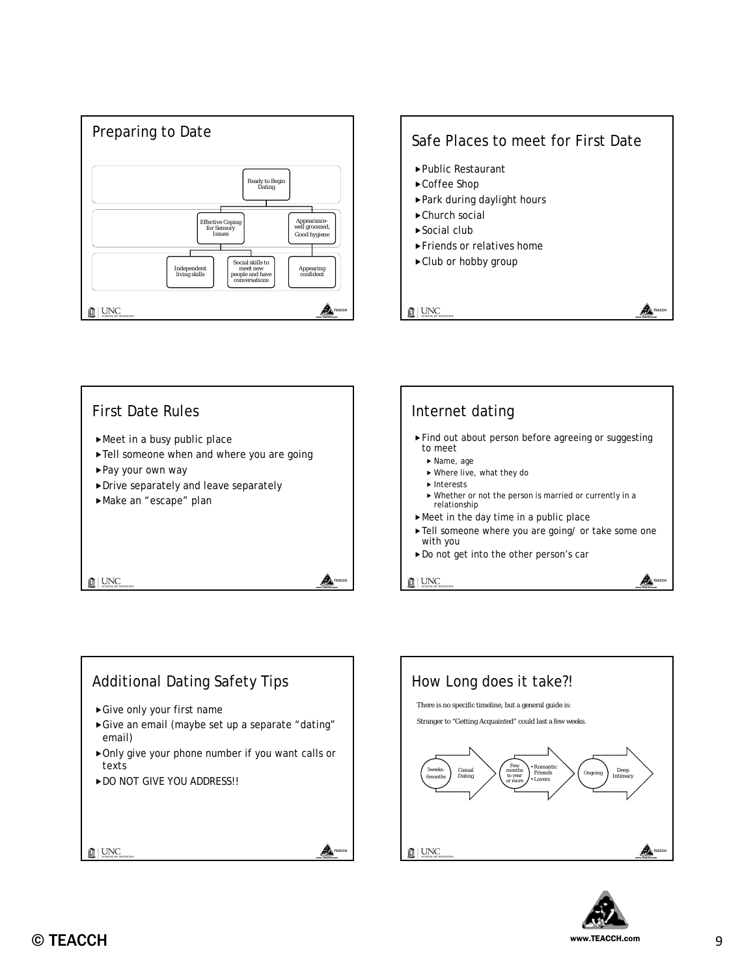

# Safe Places to meet for First Date Public Restaurant ► Coffee Shop Park during daylight hours ▶ Church social ▶ Social club Friends or relatives home ▶ Club or hobby group  $\mathbf{L}$  UNC TEACCH

www.TEACCH.com







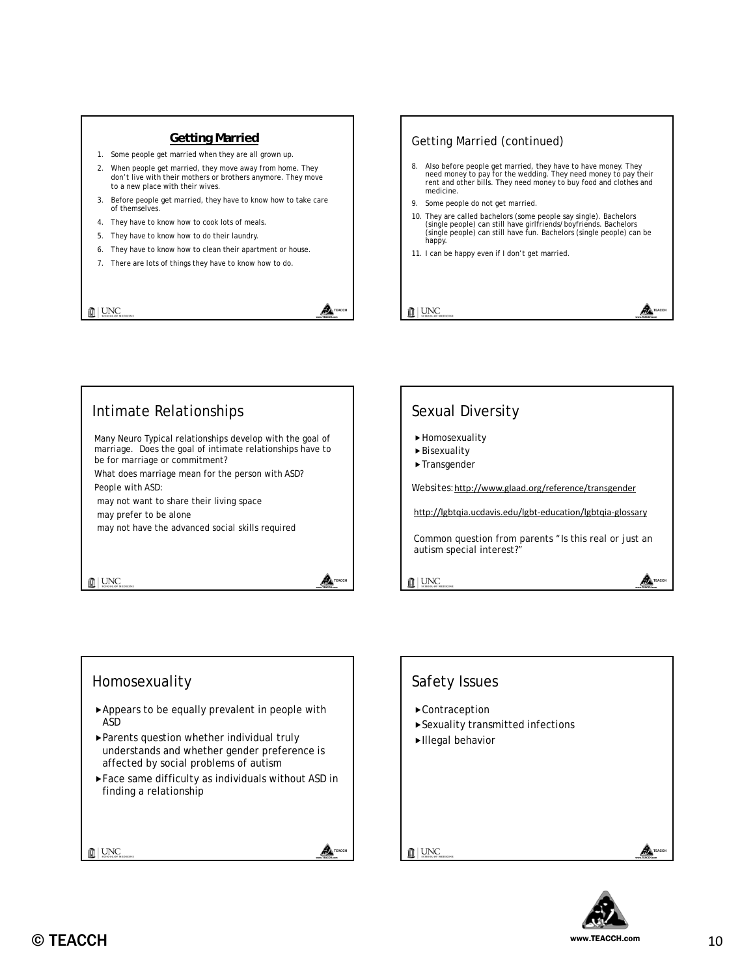#### **Getting Married**

- 1. Some people get married when they are all grown up.
- 2. When people get married, they move away from home. They don't live with their mothers or brothers anymore. They move to a new place with their wives.
- 3. Before people get married, they have to know how to take care of themselves.
- 4. They have to know how to cook lots of meals.
- 5. They have to know how to do their laundry.
- 6. They have to know how to clean their apartment or house.
- 7. There are lots of things they have to know how to do.

 $\mathbf{L}$  UNC

# Getting Married (continued) 8. Also before people get married, they have to have money. They need money to pay for the wedding. They need money to pay their rent and other bills. They need money to buy food and clothes and medicine. 9. Some people do not get married. 10. They are called bachelors (some people say single). Bachelors (single people) can still have girlfriends/boyfriends. Bachelors (single people) can still have fun. Bachelors (single people) can be happy. 11. I can be happy even if I don't get married.  $\mathbf{L}$  UNC TEACCH www.TEACCH.com

# Intimate Relationships

Many Neuro Typical relationships develop with the goal of marriage. Does the goal of intimate relationships have to be for marriage or commitment?

What does marriage mean for the person with ASD? People with ASD:

may not want to share their living space

may prefer to be alone

may not have the advanced social skills required

 $\mathbb{R}$  UNC

# Sexual Diversity Homosexuality

Bisexuality

TEACCH www.TEACCH.com

TEACCH www.TEACCH.com

A

ADwww.TEACCH.com

▶ Transgender

Websites:http://www.glaad.org/reference/transgender

http://lgbtqia.ucdavis.edu/lgbt‐education/lgbtqia‐glossary

Common question from parents "Is this real or just an autism special interest?"

 $\mathbb{R}$  UNC

### Homosexuality

- Appears to be equally prevalent in people with ASD
- Parents question whether individual truly understands and whether gender preference is affected by social problems of autism
- Face same difficulty as individuals without ASD in finding a relationship

 $\mathbb{R}$  UNC





AA www.TEACCH.com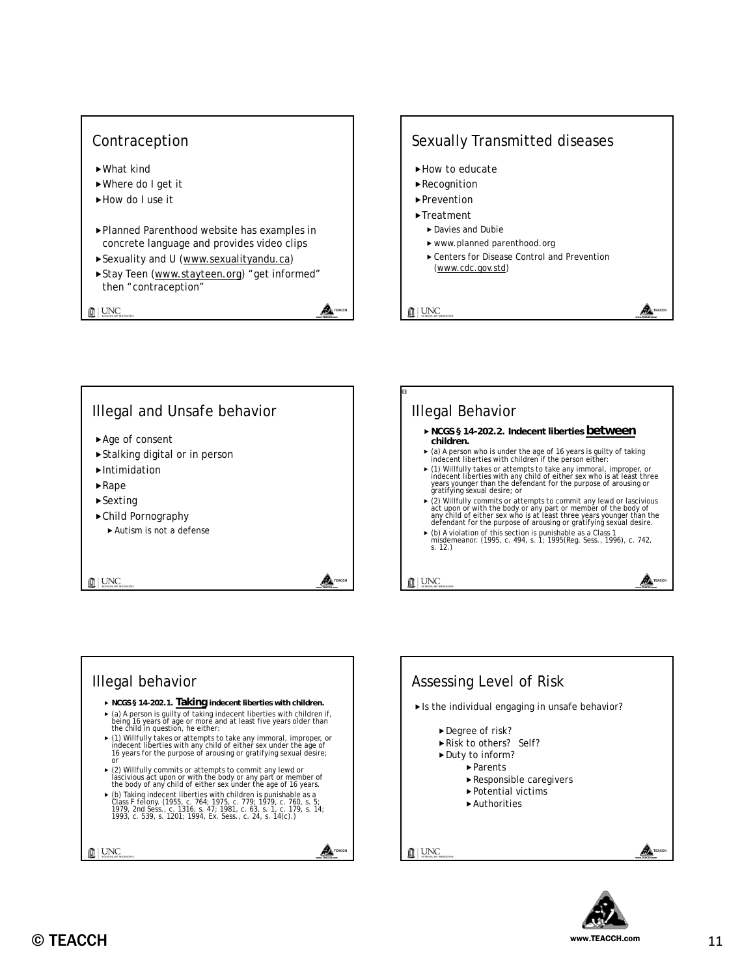







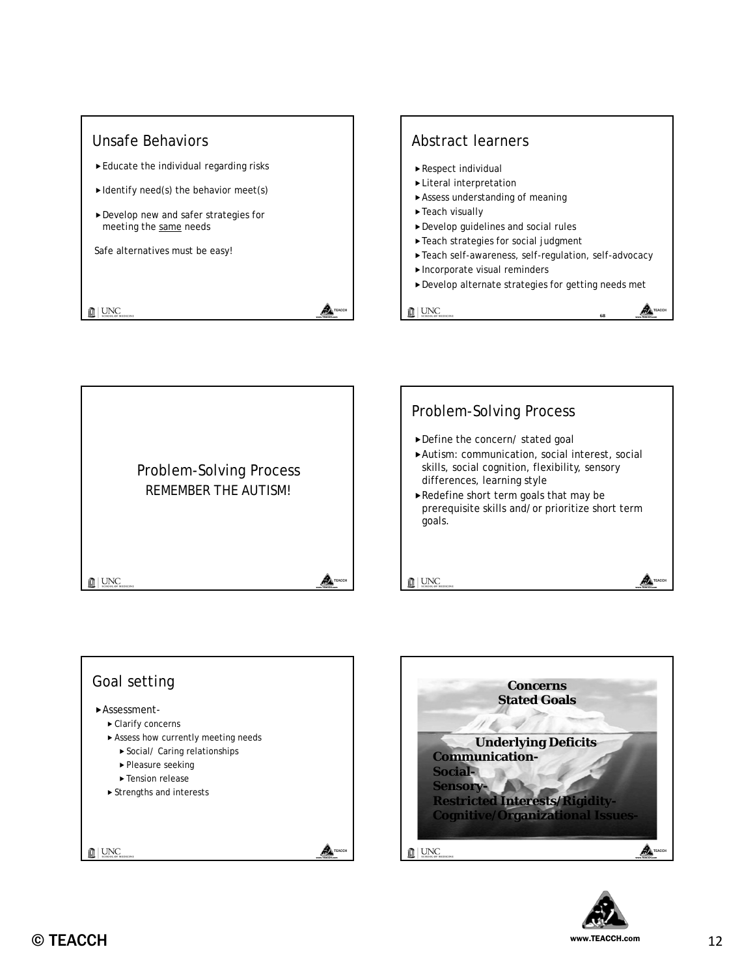